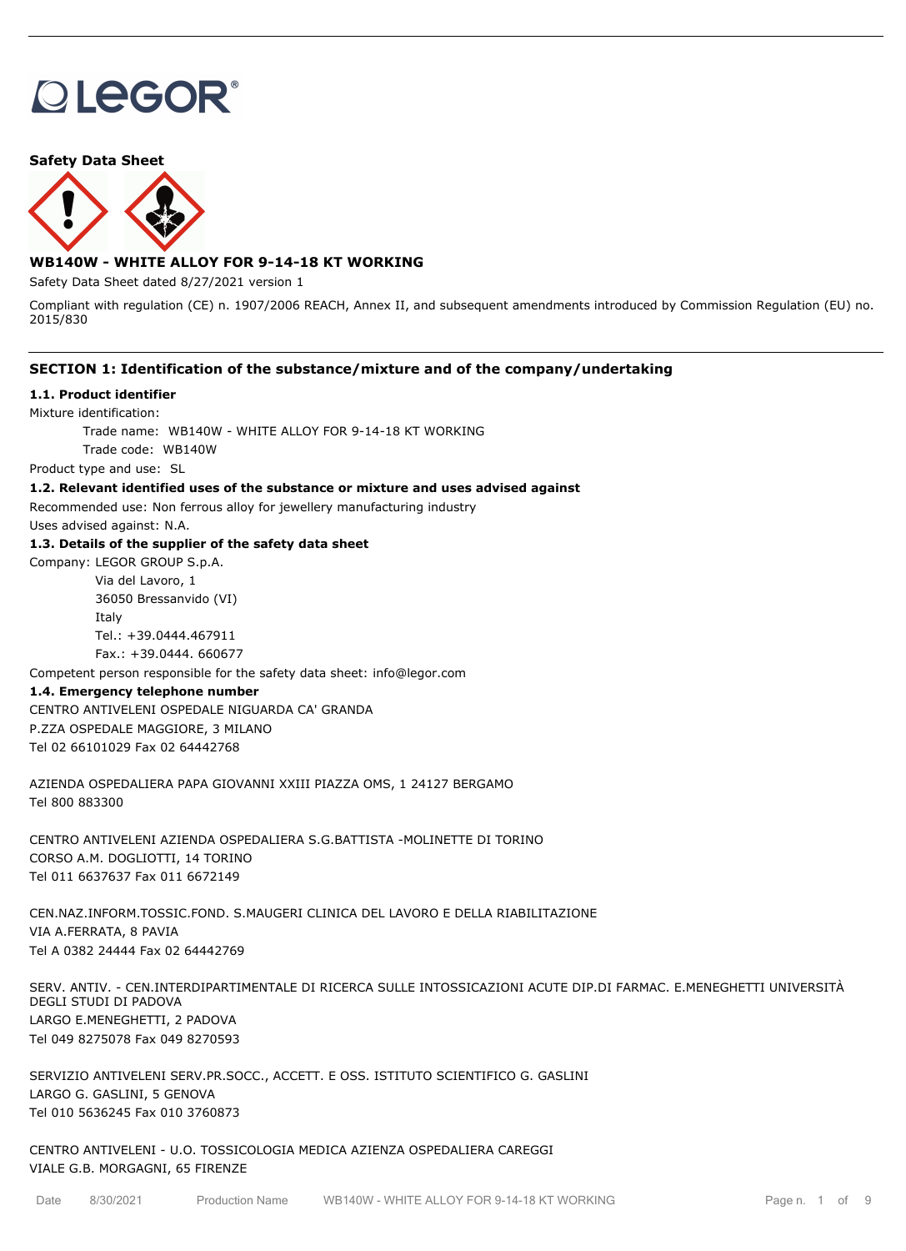# **OLEGOR®**

**Safety Data Sheet**



## **WB140W - WHITE ALLOY FOR 9-14-18 KT WORKING**

Safety Data Sheet dated 8/27/2021 version 1

Compliant with regulation (CE) n. 1907/2006 REACH, Annex II, and subsequent amendments introduced by Commission Regulation (EU) no. 2015/830

## **SECTION 1: Identification of the substance/mixture and of the company/undertaking**

#### **1.1. Product identifier**

Mixture identification:

Trade name: WB140W - WHITE ALLOY FOR 9-14-18 KT WORKING

Trade code: WB140W

Product type and use: SL

#### **1.2. Relevant identified uses of the substance or mixture and uses advised against**

Recommended use: Non ferrous alloy for jewellery manufacturing industry

Uses advised against: N.A.

#### **1.3. Details of the supplier of the safety data sheet**

Company: LEGOR GROUP S.p.A. Via del Lavoro, 1

> 36050 Bressanvido (VI) Italy Tel.: +39.0444.467911 Fax.: +39.0444. 660677

Competent person responsible for the safety data sheet: info@legor.com

#### **1.4. Emergency telephone number**

CENTRO ANTIVELENI OSPEDALE NIGUARDA CA' GRANDA P.ZZA OSPEDALE MAGGIORE, 3 MILANO Tel 02 66101029 Fax 02 64442768

AZIENDA OSPEDALIERA PAPA GIOVANNI XXIII PIAZZA OMS, 1 24127 BERGAMO Tel 800 883300

CENTRO ANTIVELENI AZIENDA OSPEDALIERA S.G.BATTISTA -MOLINETTE DI TORINO CORSO A.M. DOGLIOTTI, 14 TORINO Tel 011 6637637 Fax 011 6672149

CEN.NAZ.INFORM.TOSSIC.FOND. S.MAUGERI CLINICA DEL LAVORO E DELLA RIABILITAZIONE VIA A.FERRATA, 8 PAVIA Tel A 0382 24444 Fax 02 64442769

SERV. ANTIV. - CEN.INTERDIPARTIMENTALE DI RICERCA SULLE INTOSSICAZIONI ACUTE DIP.DI FARMAC. E.MENEGHETTI UNIVERSITÀ DEGLI STUDI DI PADOVA LARGO E.MENEGHETTI, 2 PADOVA Tel 049 8275078 Fax 049 8270593

SERVIZIO ANTIVELENI SERV.PR.SOCC., ACCETT. E OSS. ISTITUTO SCIENTIFICO G. GASLINI LARGO G. GASLINI, 5 GENOVA Tel 010 5636245 Fax 010 3760873

CENTRO ANTIVELENI - U.O. TOSSICOLOGIA MEDICA AZIENZA OSPEDALIERA CAREGGI VIALE G.B. MORGAGNI, 65 FIRENZE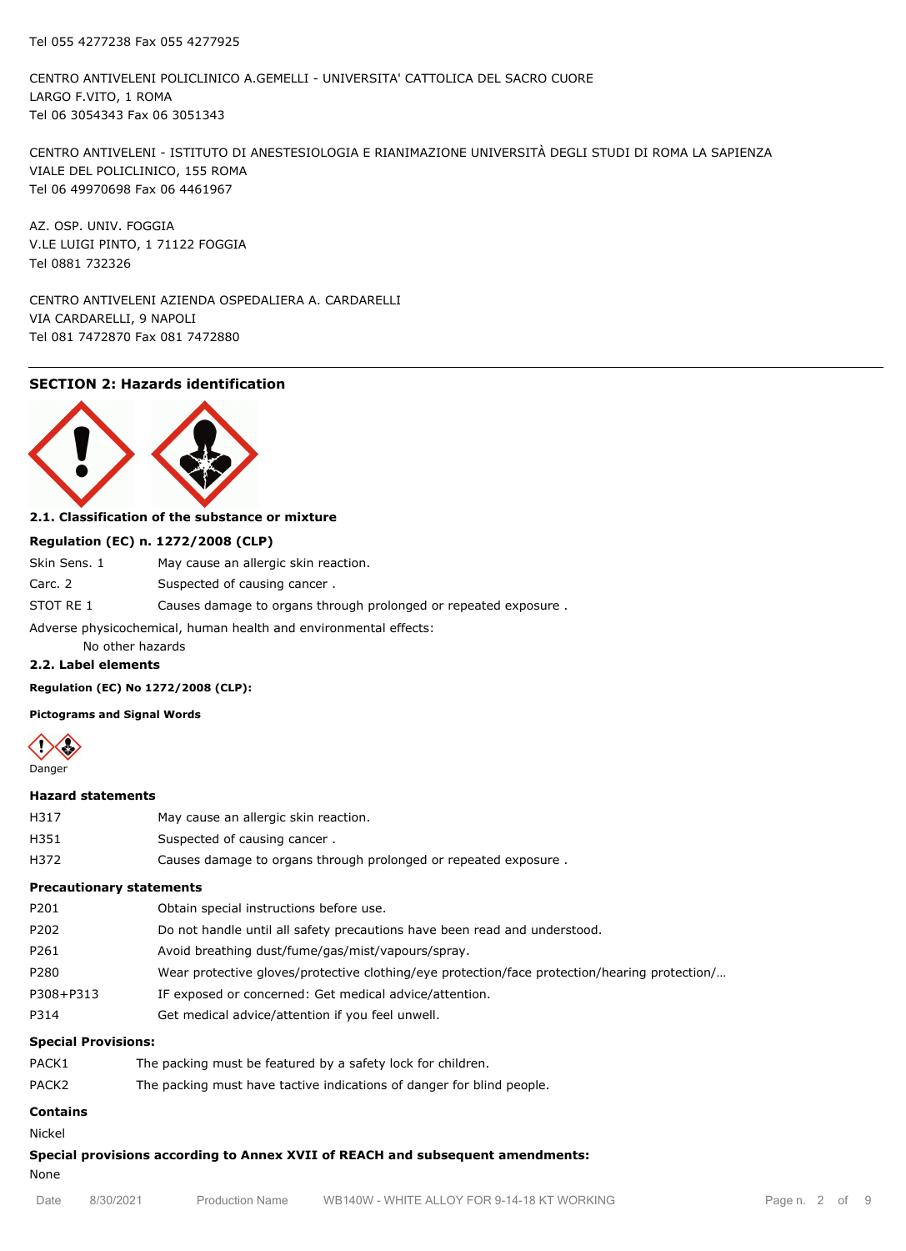CENTRO ANTIVELENI POLICLINICO A.GEMELLI - UNIVERSITA' CATTOLICA DEL SACRO CUORE LARGO F.VITO, 1 ROMA Tel 06 3054343 Fax 06 3051343

CENTRO ANTIVELENI - ISTITUTO DI ANESTESIOLOGIA E RIANIMAZIONE UNIVERSITÀ DEGLI STUDI DI ROMA LA SAPIENZA VIALE DEL POLICLINICO, 155 ROMA Tel 06 49970698 Fax 06 4461967

AZ. OSP. UNIV. FOGGIA V.LE LUIGI PINTO, 1 71122 FOGGIA Tel 0881 732326

CENTRO ANTIVELENI AZIENDA OSPEDALIERA A. CARDARELLI VIA CARDARELLI, 9 NAPOLI Tel 081 7472870 Fax 081 7472880

## **SECTION 2: Hazards identification**



#### **2.1. Classification of the substance or mixture**

#### **Regulation (EC) n. 1272/2008 (CLP)**

| Skin Sens. 1                                                     | May cause an allergic skin reaction.                            |  |  |
|------------------------------------------------------------------|-----------------------------------------------------------------|--|--|
| Carc. 2                                                          | Suspected of causing cancer.                                    |  |  |
| STOT RE 1                                                        | Causes damage to organs through prolonged or repeated exposure. |  |  |
| Adverse physicochemical, human health and environmental effects: |                                                                 |  |  |

No other hazards

#### **2.2. Label elements**

**Regulation (EC) No 1272/2008 (CLP):**

**Pictograms and Signal Words**



#### **Hazard statements**

| H317 | May cause an allergic skin reaction. |
|------|--------------------------------------|
| H351 | Suspected of causing cancer.         |
|      |                                      |

H372 Causes damage to organs through prolonged or repeated exposure .

## **Precautionary statements**

| P201      | Obtain special instructions before use.                                                       |
|-----------|-----------------------------------------------------------------------------------------------|
| P202      | Do not handle until all safety precautions have been read and understood.                     |
| P261      | Avoid breathing dust/fume/gas/mist/vapours/spray.                                             |
| P280      | Wear protective gloves/protective clothing/eye protection/face protection/hearing protection/ |
| P308+P313 | IF exposed or concerned: Get medical advice/attention.                                        |
| P314      | Get medical advice/attention if you feel unwell.                                              |
|           |                                                                                               |

## **Special Provisions:**

| PACK1             | The packing must be featured by a safety lock for children.           |
|-------------------|-----------------------------------------------------------------------|
| PACK <sub>2</sub> | The packing must have tactive indications of danger for blind people. |

# **Contains**

Nickel

**Special provisions according to Annex XVII of REACH and subsequent amendments:**

## None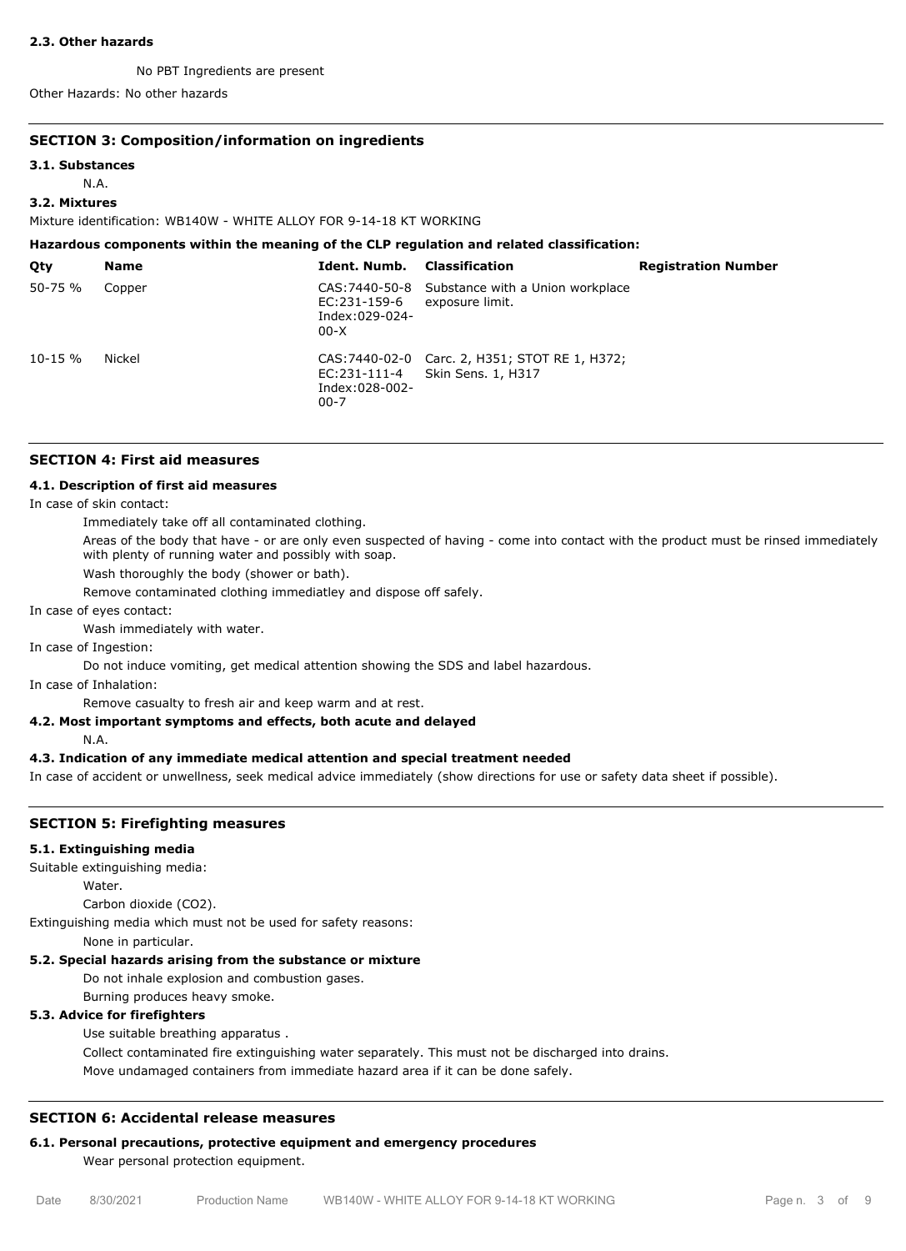#### **2.3. Other hazards**

No PBT Ingredients are present

Other Hazards: No other hazards

#### **SECTION 3: Composition/information on ingredients**

#### **3.1. Substances**

N.A.

## **3.2. Mixtures**

Mixture identification: WB140W - WHITE ALLOY FOR 9-14-18 KT WORKING

| Hazardous components within the meaning of the CLP regulation and related classification: |             |                                            |                                                                      |                            |  |
|-------------------------------------------------------------------------------------------|-------------|--------------------------------------------|----------------------------------------------------------------------|----------------------------|--|
| Qty                                                                                       | <b>Name</b> | Ident. Numb.                               | <b>Classification</b>                                                | <b>Registration Number</b> |  |
| $50 - 75 %$                                                                               | Copper      | EC:231-159-6<br>Index:029-024-<br>$00-X$   | CAS: 7440-50-8 Substance with a Union workplace<br>exposure limit.   |                            |  |
| $10 - 15 \%$                                                                              | Nickel      | EC:231-111-4<br>Index:028-002-<br>$00 - 7$ | CAS: 7440-02-0 Carc. 2, H351; STOT RE 1, H372;<br>Skin Sens. 1, H317 |                            |  |

#### **SECTION 4: First aid measures**

#### **4.1. Description of first aid measures**

In case of skin contact:

Immediately take off all contaminated clothing.

Areas of the body that have - or are only even suspected of having - come into contact with the product must be rinsed immediately with plenty of running water and possibly with soap.

Wash thoroughly the body (shower or bath).

Remove contaminated clothing immediatley and dispose off safely.

In case of eyes contact:

Wash immediately with water.

In case of Ingestion:

Do not induce vomiting, get medical attention showing the SDS and label hazardous.

In case of Inhalation:

Remove casualty to fresh air and keep warm and at rest.

#### **4.2. Most important symptoms and effects, both acute and delayed**

N.A.

## **4.3. Indication of any immediate medical attention and special treatment needed**

In case of accident or unwellness, seek medical advice immediately (show directions for use or safety data sheet if possible).

## **SECTION 5: Firefighting measures**

#### **5.1. Extinguishing media**

Suitable extinguishing media:

Water.

Carbon dioxide (CO2).

Extinguishing media which must not be used for safety reasons:

None in particular.

## **5.2. Special hazards arising from the substance or mixture**

Do not inhale explosion and combustion gases.

Burning produces heavy smoke.

## **5.3. Advice for firefighters**

Use suitable breathing apparatus .

Collect contaminated fire extinguishing water separately. This must not be discharged into drains. Move undamaged containers from immediate hazard area if it can be done safely.

#### **SECTION 6: Accidental release measures**

## **6.1. Personal precautions, protective equipment and emergency procedures**

Wear personal protection equipment.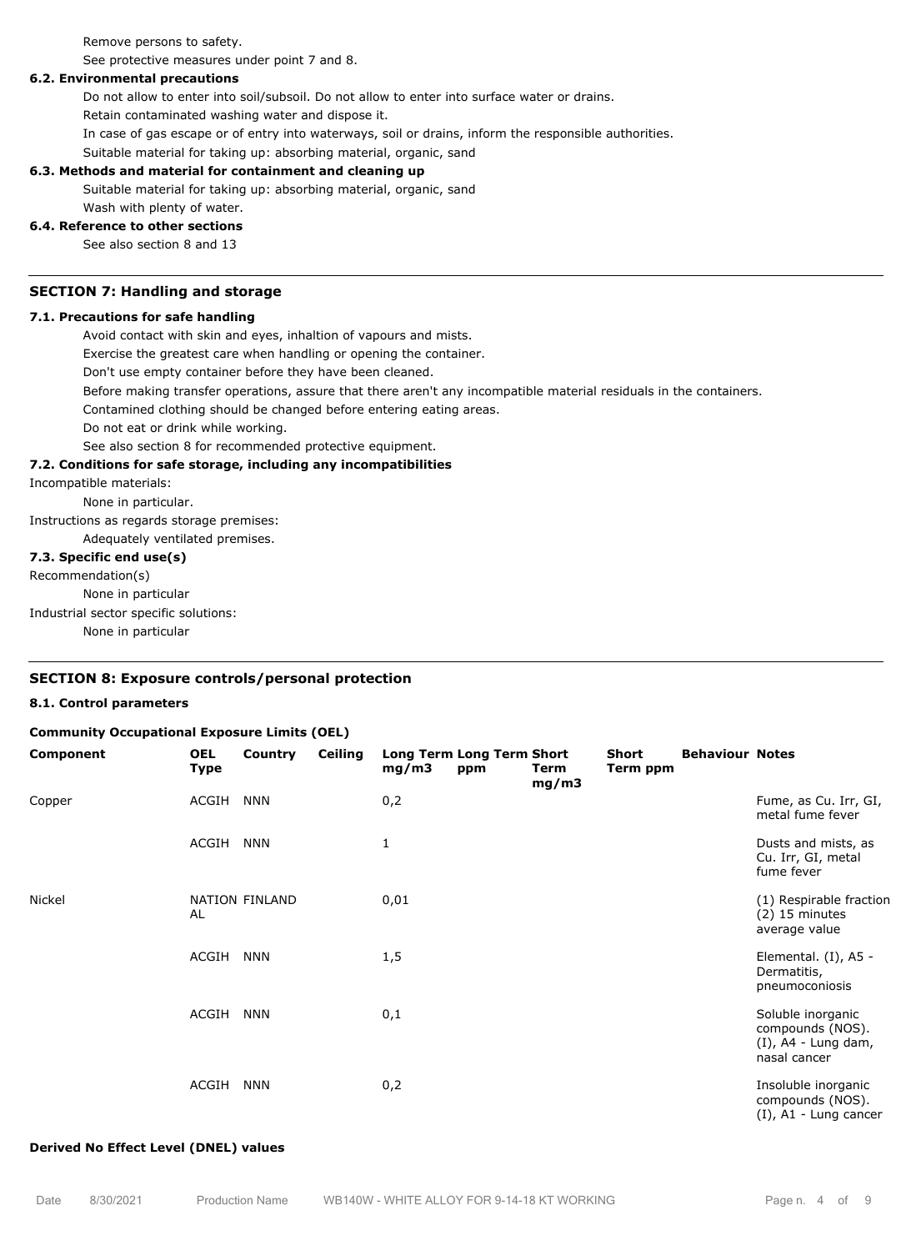Remove persons to safety.

See protective measures under point 7 and 8.

#### **6.2. Environmental precautions**

Do not allow to enter into soil/subsoil. Do not allow to enter into surface water or drains.

Retain contaminated washing water and dispose it.

In case of gas escape or of entry into waterways, soil or drains, inform the responsible authorities.

Suitable material for taking up: absorbing material, organic, sand

#### **6.3. Methods and material for containment and cleaning up**

Suitable material for taking up: absorbing material, organic, sand

## Wash with plenty of water.

#### **6.4. Reference to other sections**

See also section 8 and 13

#### **SECTION 7: Handling and storage**

## **7.1. Precautions for safe handling**

Avoid contact with skin and eyes, inhaltion of vapours and mists.

Exercise the greatest care when handling or opening the container.

Don't use empty container before they have been cleaned.

Before making transfer operations, assure that there aren't any incompatible material residuals in the containers.

Contamined clothing should be changed before entering eating areas.

Do not eat or drink while working.

See also section 8 for recommended protective equipment.

#### **7.2. Conditions for safe storage, including any incompatibilities**

Incompatible materials:

None in particular.

Instructions as regards storage premises:

Adequately ventilated premises.

#### **7.3. Specific end use(s)**

Recommendation(s)

None in particular

Industrial sector specific solutions:

None in particular

## **SECTION 8: Exposure controls/personal protection**

#### **8.1. Control parameters**

#### **Community Occupational Exposure Limits (OEL)**

| Component | <b>OEL</b><br><b>Type</b> | Country        | <b>Ceiling</b> | Long Term Long Term Short<br>mg/m3 | ppm | Term<br>mg/m3 | Short<br>Term ppm | <b>Behaviour Notes</b> |                                                                                 |
|-----------|---------------------------|----------------|----------------|------------------------------------|-----|---------------|-------------------|------------------------|---------------------------------------------------------------------------------|
| Copper    | ACGIH                     | <b>NNN</b>     |                | 0,2                                |     |               |                   |                        | Fume, as Cu. Irr, GI,<br>metal fume fever                                       |
|           | ACGIH                     | <b>NNN</b>     |                | 1                                  |     |               |                   |                        | Dusts and mists, as<br>Cu. Irr, GI, metal<br>fume fever                         |
| Nickel    | AL                        | NATION FINLAND |                | 0,01                               |     |               |                   |                        | (1) Respirable fraction<br>$(2)$ 15 minutes<br>average value                    |
|           | ACGIH                     | <b>NNN</b>     |                | 1,5                                |     |               |                   |                        | Elemental. (I), A5 -<br>Dermatitis,<br>pneumoconiosis                           |
|           | ACGIH                     | <b>NNN</b>     |                | 0,1                                |     |               |                   |                        | Soluble inorganic<br>compounds (NOS).<br>$(I)$ , A4 - Lung dam,<br>nasal cancer |
|           | ACGIH                     | <b>NNN</b>     |                | 0,2                                |     |               |                   |                        | Insoluble inorganic<br>compounds (NOS).<br>$(I)$ , A1 - Lung cancer             |

#### **Derived No Effect Level (DNEL) values**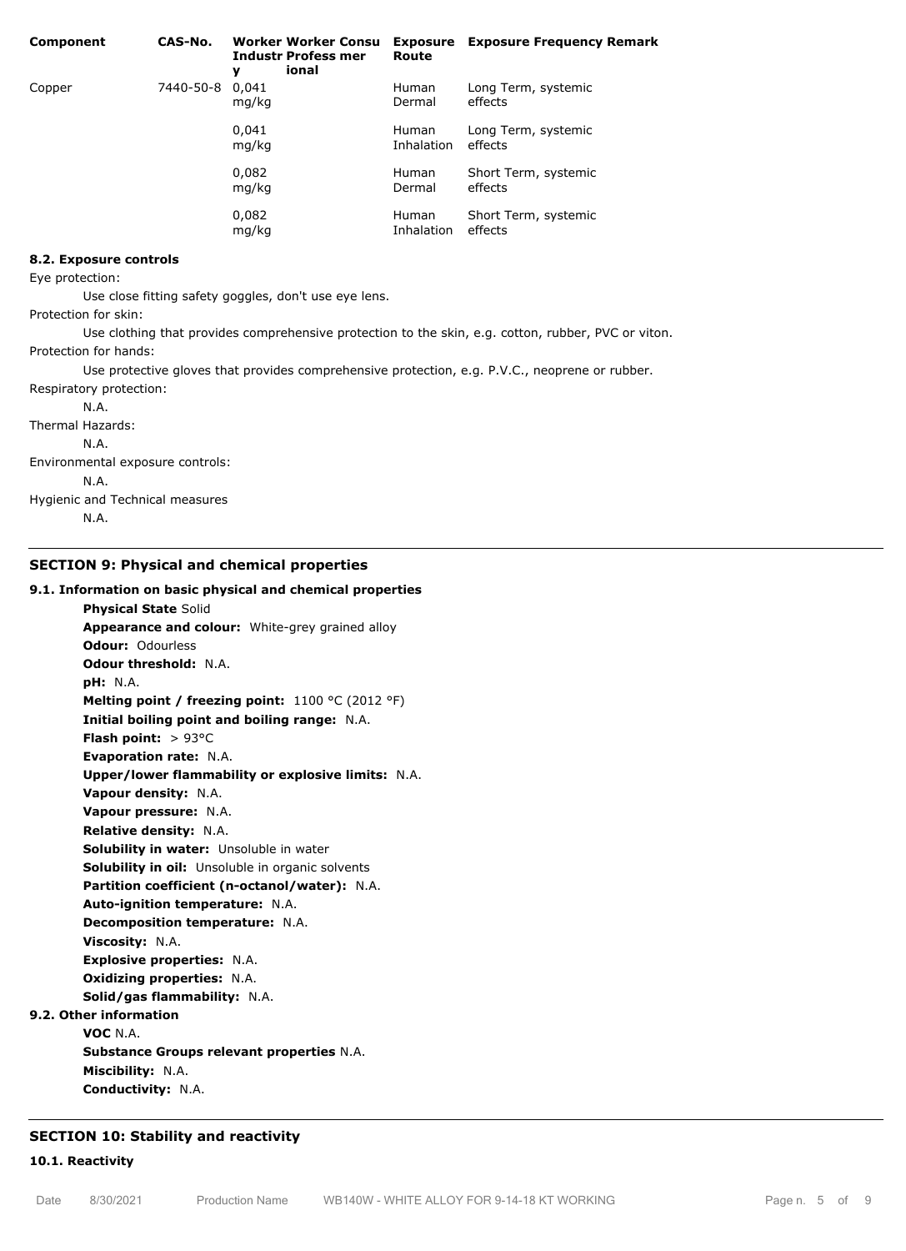| Component | CAS-No.         | <b>Worker Worker Consu</b><br><b>Industr Profess mer</b><br>ional<br>y | Route                      | <b>Exposure</b> Exposure Frequency Remark |
|-----------|-----------------|------------------------------------------------------------------------|----------------------------|-------------------------------------------|
| Copper    | 7440-50-8 0,041 | mg/kg                                                                  | <b>Human</b><br>Dermal     | Long Term, systemic<br>effects            |
|           |                 | 0,041<br>mg/kg                                                         | <b>Human</b><br>Inhalation | Long Term, systemic<br>effects            |
|           |                 | 0,082<br>mg/kg                                                         | <b>Human</b><br>Dermal     | Short Term, systemic<br>effects           |
|           |                 | 0,082<br>mg/kg                                                         | <b>Human</b><br>Inhalation | Short Term, systemic<br>effects           |

#### **8.2. Exposure controls**

Eye protection:

Use close fitting safety goggles, don't use eye lens.

Protection for skin:

Use clothing that provides comprehensive protection to the skin, e.g. cotton, rubber, PVC or viton. Protection for hands:

Use protective gloves that provides comprehensive protection, e.g. P.V.C., neoprene or rubber. Respiratory protection:

N.A.

Thermal Hazards:

N.A.

Environmental exposure controls:

N.A.

Hygienic and Technical measures

N.A.

#### **SECTION 9: Physical and chemical properties**

#### **9.1. Information on basic physical and chemical properties**

**Physical State** Solid **Appearance and colour:** White-grey grained alloy **Odour:** Odourless **Odour threshold:** N.A. **pH:** N.A. **Melting point / freezing point:** 1100 °C (2012 °F) **Initial boiling point and boiling range:** N.A. **Flash point:** > 93°C **Evaporation rate:** N.A. **Upper/lower flammability or explosive limits:** N.A. **Vapour density:** N.A. **Vapour pressure:** N.A. **Relative density:** N.A. **Solubility in water:** Unsoluble in water **Solubility in oil:** Unsoluble in organic solvents **Partition coefficient (n-octanol/water):** N.A. **Auto-ignition temperature:** N.A. **Decomposition temperature:** N.A. **Viscosity:** N.A. **Explosive properties:** N.A. **Oxidizing properties:** N.A. **Solid/gas flammability:** N.A. **9.2. Other information VOC** N.A. **Substance Groups relevant properties** N.A. **Miscibility:** N.A. **Conductivity:** N.A.

## **SECTION 10: Stability and reactivity**

**10.1. Reactivity**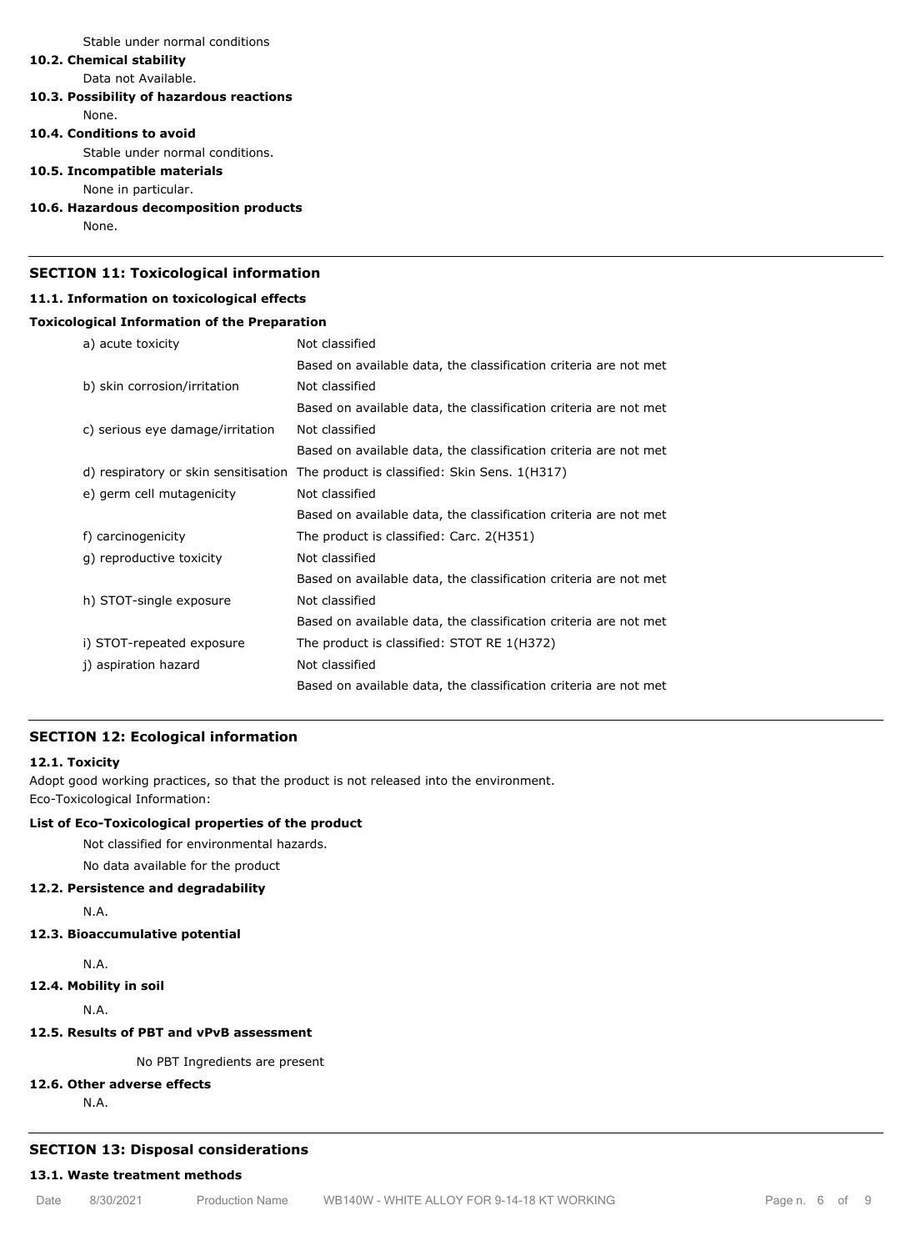Stable under normal conditions

## **10.2. Chemical stability**

Data not Available.

## **10.3. Possibility of hazardous reactions**

None.

#### **10.4. Conditions to avoid**

Stable under normal conditions.

## **10.5. Incompatible materials**

None in particular.

#### **10.6. Hazardous decomposition products**

None.

## **SECTION 11: Toxicological information**

#### **11.1. Information on toxicological effects**

#### **Toxicological Information of the Preparation**

| a) acute toxicity                    | Not classified                                                   |
|--------------------------------------|------------------------------------------------------------------|
|                                      | Based on available data, the classification criteria are not met |
| b) skin corrosion/irritation         | Not classified                                                   |
|                                      | Based on available data, the classification criteria are not met |
| c) serious eye damage/irritation     | Not classified                                                   |
|                                      | Based on available data, the classification criteria are not met |
| d) respiratory or skin sensitisation | The product is classified: Skin Sens. 1(H317)                    |
| e) germ cell mutagenicity            | Not classified                                                   |
|                                      | Based on available data, the classification criteria are not met |
| f) carcinogenicity                   | The product is classified: Carc. 2(H351)                         |
| q) reproductive toxicity             | Not classified                                                   |
|                                      | Based on available data, the classification criteria are not met |
| h) STOT-single exposure              | Not classified                                                   |
|                                      | Based on available data, the classification criteria are not met |
| i) STOT-repeated exposure            | The product is classified: STOT RE 1(H372)                       |
| j) aspiration hazard                 | Not classified                                                   |
|                                      | Based on available data, the classification criteria are not met |

#### **SECTION 12: Ecological information**

## **12.1. Toxicity**

Adopt good working practices, so that the product is not released into the environment. Eco-Toxicological Information:

## **List of Eco-Toxicological properties of the product**

Not classified for environmental hazards.

No data available for the product

## **12.2. Persistence and degradability**

N.A.

## **12.3. Bioaccumulative potential**

N.A.

**12.4. Mobility in soil**

N.A.

## **12.5. Results of PBT and vPvB assessment**

No PBT Ingredients are present

## **12.6. Other adverse effects**

N.A.

## **SECTION 13: Disposal considerations**

## **13.1. Waste treatment methods**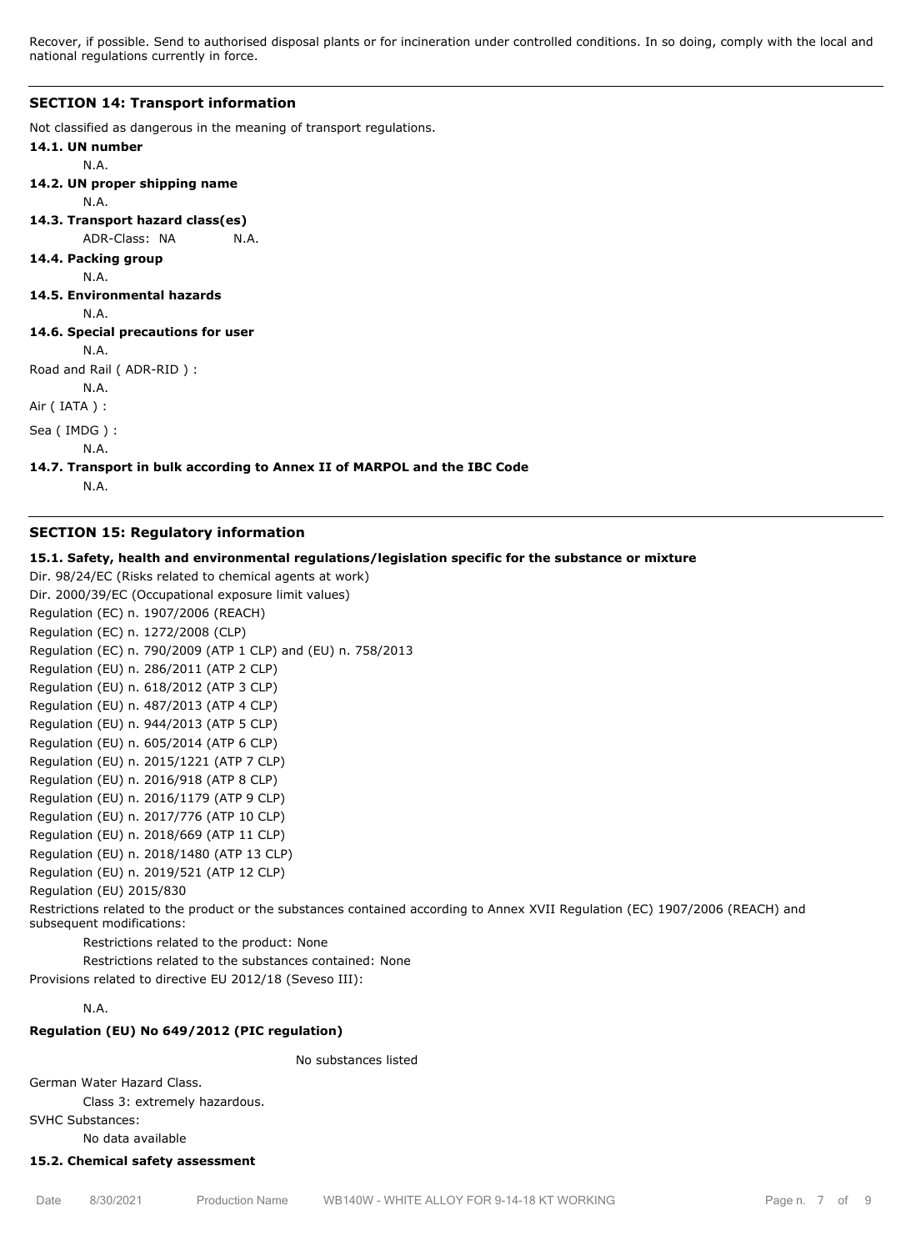Recover, if possible. Send to authorised disposal plants or for incineration under controlled conditions. In so doing, comply with the local and national regulations currently in force.

#### **SECTION 14: Transport information**

Not classified as dangerous in the meaning of transport regulations.

```
14.1. UN number
       N.A.
14.2. UN proper shipping name
       N.A.
14.3. Transport hazard class(es)
       ADR-Class: NA N.A.
```

```
14.4. Packing group
```
N.A.

**14.5. Environmental hazards**

N.A.

```
14.6. Special precautions for user
```
N.A.

Road and Rail ( ADR-RID ) :

N.A.

Air ( IATA ) :

Sea ( IMDG ) :

N.A.

```
14.7. Transport in bulk according to Annex II of MARPOL and the IBC Code
```
N.A.

#### **SECTION 15: Regulatory information**

**15.1. Safety, health and environmental regulations/legislation specific for the substance or mixture**

Dir. 98/24/EC (Risks related to chemical agents at work) Dir. 2000/39/EC (Occupational exposure limit values) Regulation (EC) n. 1907/2006 (REACH) Regulation (EC) n. 1272/2008 (CLP) Regulation (EC) n. 790/2009 (ATP 1 CLP) and (EU) n. 758/2013 Regulation (EU) n. 286/2011 (ATP 2 CLP) Regulation (EU) n. 618/2012 (ATP 3 CLP) Regulation (EU) n. 487/2013 (ATP 4 CLP) Regulation (EU) n. 944/2013 (ATP 5 CLP) Regulation (EU) n. 605/2014 (ATP 6 CLP) Regulation (EU) n. 2015/1221 (ATP 7 CLP) Regulation (EU) n. 2016/918 (ATP 8 CLP) Regulation (EU) n. 2016/1179 (ATP 9 CLP) Regulation (EU) n. 2017/776 (ATP 10 CLP) Regulation (EU) n. 2018/669 (ATP 11 CLP) Regulation (EU) n. 2018/1480 (ATP 13 CLP) Regulation (EU) n. 2019/521 (ATP 12 CLP) Regulation (EU) 2015/830 Restrictions related to the product or the substances contained according to Annex XVII Regulation (EC) 1907/2006 (REACH) and subsequent modifications: Restrictions related to the product: None Restrictions related to the substances contained: None

Provisions related to directive EU 2012/18 (Seveso III):

## N.A.

## **Regulation (EU) No 649/2012 (PIC regulation)**

No substances listed

German Water Hazard Class.

Class 3: extremely hazardous.

SVHC Substances:

No data available

#### **15.2. Chemical safety assessment**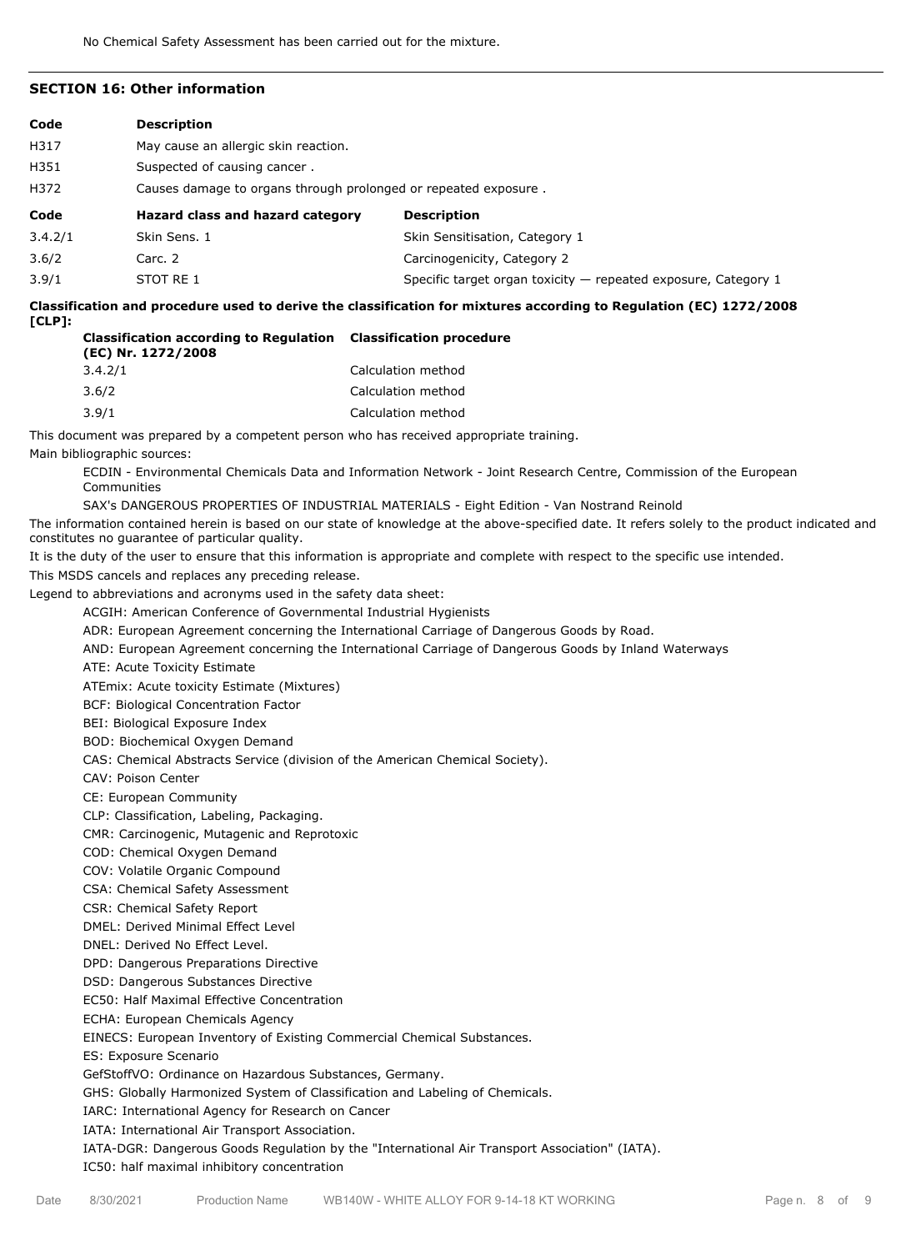## **SECTION 16: Other information**

| Code    | <b>Description</b>                                              |                                |  |  |
|---------|-----------------------------------------------------------------|--------------------------------|--|--|
| H317    | May cause an allergic skin reaction.                            |                                |  |  |
| H351    | Suspected of causing cancer.                                    |                                |  |  |
| H372    | Causes damage to organs through prolonged or repeated exposure. |                                |  |  |
|         |                                                                 |                                |  |  |
| Code    | Hazard class and hazard category                                | <b>Description</b>             |  |  |
| 3.4.2/1 | Skin Sens, 1                                                    | Skin Sensitisation, Category 1 |  |  |
| 3.6/2   | Carc. 2                                                         | Carcinogenicity, Category 2    |  |  |

**Classification and procedure used to derive the classification for mixtures according to Regulation (EC) 1272/2008 [CLP]:**

| <b>Classification according to Regulation Classification procedure</b><br>(EC) Nr. 1272/2008 |                    |  |  |
|----------------------------------------------------------------------------------------------|--------------------|--|--|
| 3.4.2/1                                                                                      | Calculation method |  |  |
| 3.6/2                                                                                        | Calculation method |  |  |
| 3.9/1                                                                                        | Calculation method |  |  |

This document was prepared by a competent person who has received appropriate training. Main bibliographic sources:

ECDIN - Environmental Chemicals Data and Information Network - Joint Research Centre, Commission of the European Communities

SAX's DANGEROUS PROPERTIES OF INDUSTRIAL MATERIALS - Eight Edition - Van Nostrand Reinold

The information contained herein is based on our state of knowledge at the above-specified date. It refers solely to the product indicated and constitutes no guarantee of particular quality.

It is the duty of the user to ensure that this information is appropriate and complete with respect to the specific use intended. This MSDS cancels and replaces any preceding release.

Legend to abbreviations and acronyms used in the safety data sheet:

ACGIH: American Conference of Governmental Industrial Hygienists

ADR: European Agreement concerning the International Carriage of Dangerous Goods by Road.

AND: European Agreement concerning the International Carriage of Dangerous Goods by Inland Waterways

ATE: Acute Toxicity Estimate

ATEmix: Acute toxicity Estimate (Mixtures)

BCF: Biological Concentration Factor

BEI: Biological Exposure Index

BOD: Biochemical Oxygen Demand

CAS: Chemical Abstracts Service (division of the American Chemical Society).

CAV: Poison Center

CE: European Community

CLP: Classification, Labeling, Packaging.

CMR: Carcinogenic, Mutagenic and Reprotoxic

COD: Chemical Oxygen Demand

COV: Volatile Organic Compound

CSA: Chemical Safety Assessment

CSR: Chemical Safety Report

DMEL: Derived Minimal Effect Level

DNEL: Derived No Effect Level.

DPD: Dangerous Preparations Directive

DSD: Dangerous Substances Directive

EC50: Half Maximal Effective Concentration

ECHA: European Chemicals Agency

EINECS: European Inventory of Existing Commercial Chemical Substances.

ES: Exposure Scenario

GefStoffVO: Ordinance on Hazardous Substances, Germany.

GHS: Globally Harmonized System of Classification and Labeling of Chemicals.

IARC: International Agency for Research on Cancer

IATA: International Air Transport Association.

IATA-DGR: Dangerous Goods Regulation by the "International Air Transport Association" (IATA). IC50: half maximal inhibitory concentration